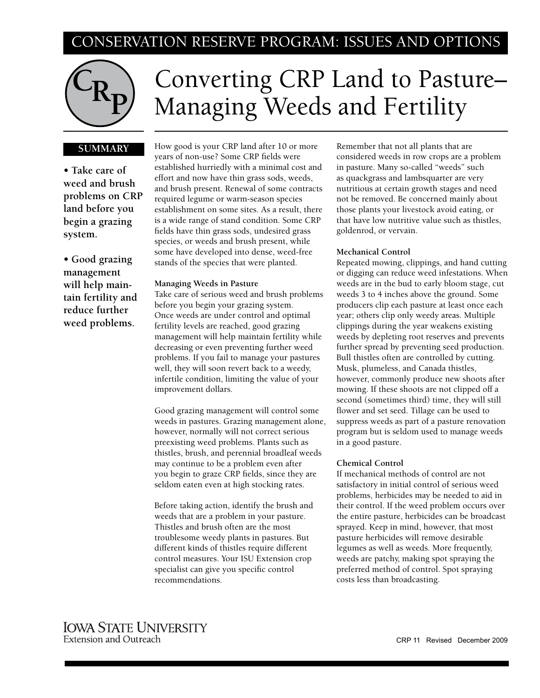# CONSERVATION RESERVE PROGRAM: ISSUES AND OPTIONS



# Converting CRP Land to Pasture– Managing Weeds and Fertility

# **SUMMARY**

**• Take care of weed and brush problems on CRP land before you begin a grazing system.**

**• Good grazing management will help maintain fertility and reduce further weed problems.**

How good is your CRP land after 10 or more years of non-use? Some CRP fields were established hurriedly with a minimal cost and effort and now have thin grass sods, weeds, and brush present. Renewal of some contracts required legume or warm-season species establishment on some sites. As a result, there is a wide range of stand condition. Some CRP fields have thin grass sods, undesired grass species, or weeds and brush present, while some have developed into dense, weed-free stands of the species that were planted.

#### **Managing Weeds in Pasture**

Take care of serious weed and brush problems before you begin your grazing system. Once weeds are under control and optimal fertility levels are reached, good grazing management will help maintain fertility while decreasing or even preventing further weed problems. If you fail to manage your pastures well, they will soon revert back to a weedy, infertile condition, limiting the value of your improvement dollars.

Good grazing management will control some weeds in pastures. Grazing management alone, however, normally will not correct serious preexisting weed problems. Plants such as thistles, brush, and perennial broadleaf weeds may continue to be a problem even after you begin to graze CRP fields, since they are seldom eaten even at high stocking rates.

Before taking action, identify the brush and weeds that are a problem in your pasture. Thistles and brush often are the most troublesome weedy plants in pastures. But different kinds of thistles require different control measures. Your ISU Extension crop specialist can give you specific control recommendations.

Remember that not all plants that are considered weeds in row crops are a problem in pasture. Many so-called "weeds" such as quackgrass and lambsquarter are very nutritious at certain growth stages and need not be removed. Be concerned mainly about those plants your livestock avoid eating, or that have low nutritive value such as thistles, goldenrod, or vervain.

# **Mechanical Control**

Repeated mowing, clippings, and hand cutting or digging can reduce weed infestations. When weeds are in the bud to early bloom stage, cut weeds 3 to 4 inches above the ground. Some producers clip each pasture at least once each year; others clip only weedy areas. Multiple clippings during the year weakens existing weeds by depleting root reserves and prevents further spread by preventing seed production. Bull thistles often are controlled by cutting. Musk, plumeless, and Canada thistles, however, commonly produce new shoots after mowing. If these shoots are not clipped off a second (sometimes third) time, they will still flower and set seed. Tillage can be used to suppress weeds as part of a pasture renovation program but is seldom used to manage weeds in a good pasture.

## **Chemical Control**

If mechanical methods of control are not satisfactory in initial control of serious weed problems, herbicides may be needed to aid in their control. If the weed problem occurs over the entire pasture, herbicides can be broadcast sprayed. Keep in mind, however, that most pasture herbicides will remove desirable legumes as well as weeds. More frequently, weeds are patchy, making spot spraying the preferred method of control. Spot spraying costs less than broadcasting.